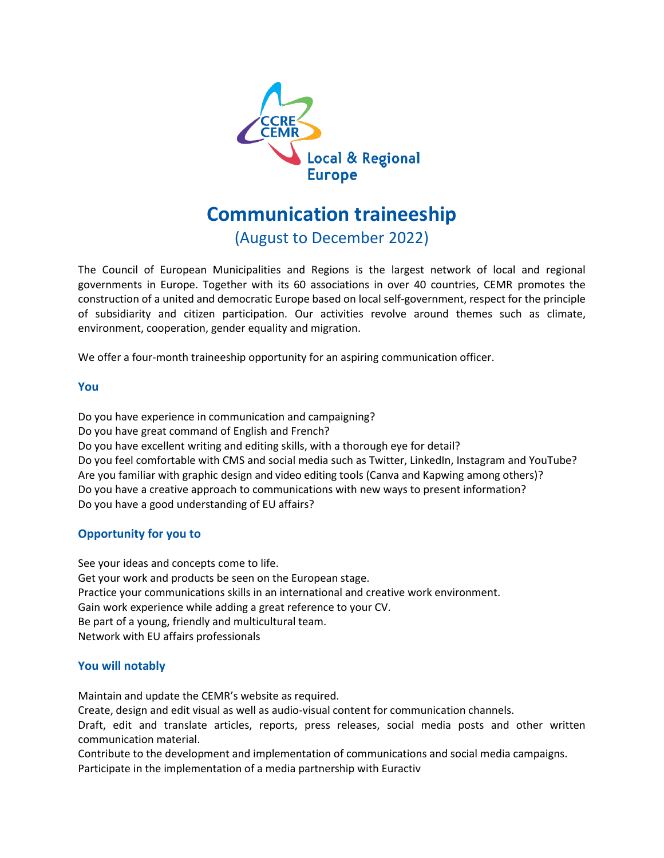

# **Communication traineeship**

(August to December 2022)

The Council of European Municipalities and Regions is the largest network of local and regional governments in Europe. Together with its 60 associations in over 40 countries, CEMR promotes the construction of a united and democratic Europe based on local self-government, respect for the principle of subsidiarity and citizen participation. Our activities revolve around themes such as climate, environment, cooperation, gender equality and migration.

We offer a four-month traineeship opportunity for an aspiring communication officer.

## **You**

Do you have experience in communication and campaigning? Do you have great command of English and French? Do you have excellent writing and editing skills, with a thorough eye for detail? Do you feel comfortable with CMS and social media such as Twitter, LinkedIn, Instagram and YouTube? Are you familiar with graphic design and video editing tools (Canva and Kapwing among others)? Do you have a creative approach to communications with new ways to present information? Do you have a good understanding of EU affairs?

## **Opportunity for you to**

See your ideas and concepts come to life. Get your work and products be seen on the European stage. Practice your communications skills in an international and creative work environment. Gain work experience while adding a great reference to your CV. Be part of a young, friendly and multicultural team. Network with EU affairs professionals

## **You will notably**

Maintain and update the CEMR's website as required.

Create, design and edit visual as well as audio-visual content for communication channels.

Draft, edit and translate articles, reports, press releases, social media posts and other written communication material.

Contribute to the development and implementation of communications and social media campaigns. Participate in the implementation of a media partnership with Euractiv